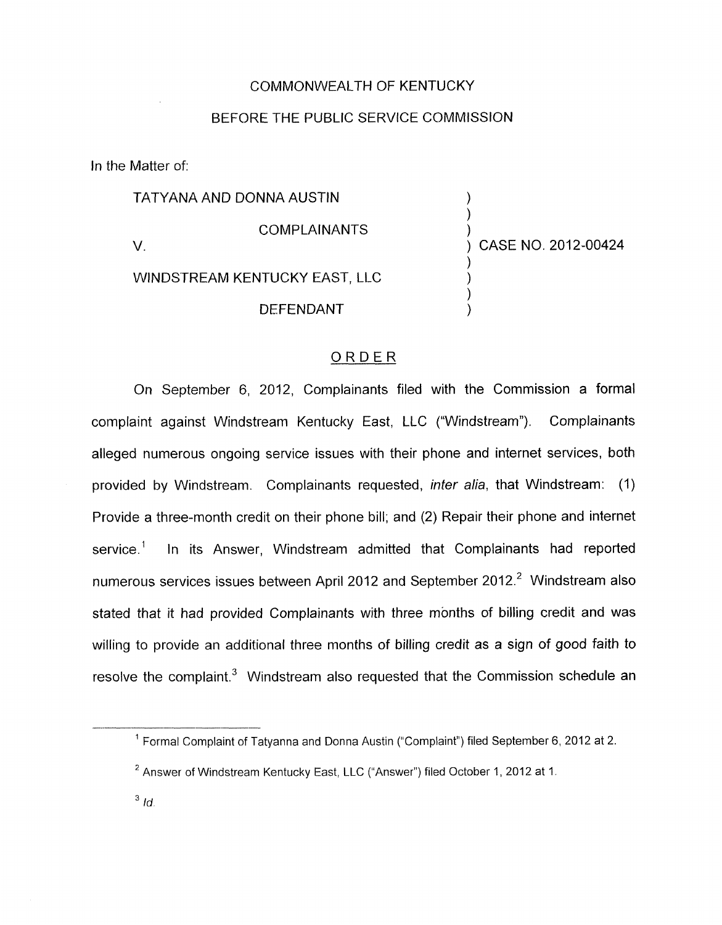## COMMONWEALTH OF KENTUCKY

## BEFORE THE PUBLIC SERVICE COMMISSION

In the Matter of:

| TATYANA AND DONNA AUSTIN      |                     |                     |  |
|-------------------------------|---------------------|---------------------|--|
|                               | <b>COMPLAINANTS</b> | CASE NO. 2012-00424 |  |
| WINDSTREAM KENTUCKY EAST, LLC |                     |                     |  |
|                               | <b>DEFENDANT</b>    |                     |  |

## ORDER

On September 6, 2012, Complainants filed with the Commission a formal complaint against Windstream Kentucky East, LLC ("Windstream"). Complainants alleged numerous ongoing service issues with their phone and internet services, both provided by Windstream. Complainants requested, *inter alia,* that Windstream: (1) Provide a three-month credit on their phone bill; and (2) Repair their phone and internet service.<sup>1</sup> In its Answer, Windstream admitted that Complainants had reported numerous services issues between April 2012 and September 2012.<sup>2</sup> Windstream also stated that it had provided Complainants with three months of billing credit and was willing to provide an additional three months of billing credit as a sign of good faith to resolve the complaint. $3$  Windstream also requested that the Commission schedule an

Formal Complaint of Tatyanna and Donna Austin ("Complaint") filed September *6,* 2012 at 2. **1** 

 $^2$  Answer of Windstream Kentucky East, LLC ("Answer") filed October 1, 2012 at 1.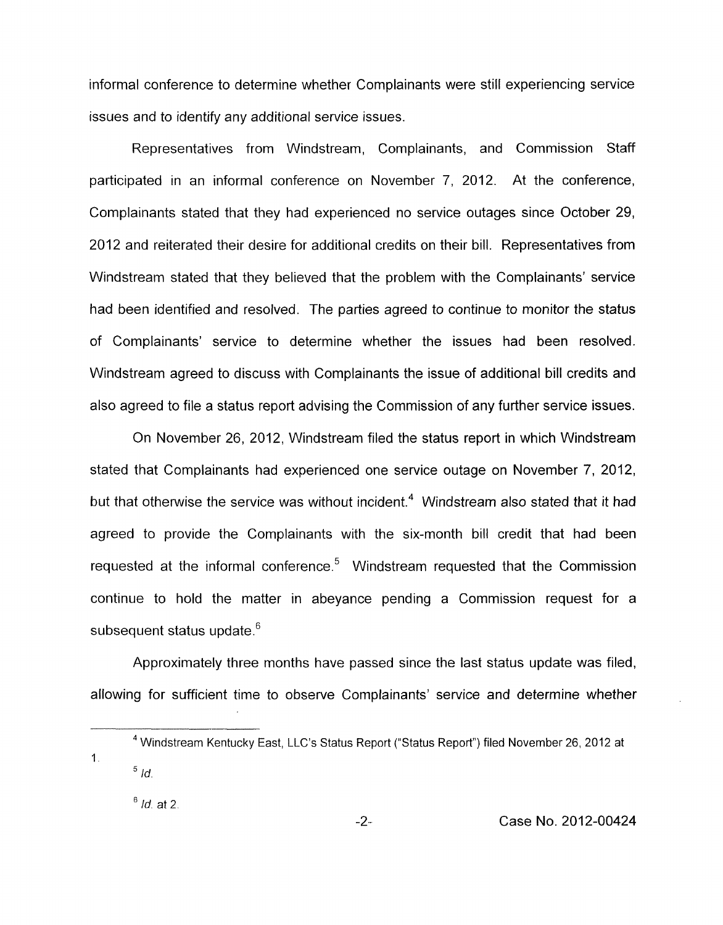informal conference to determine whether Complainants were still experiencing service issues and to identify any additional service issues.

Representatives from Windstream, Complainants, and Commission Staff participated in an informal conference on November 7, 2012. At the conference, Complainants stated that they had experienced no service outages since October 29, 2012 and reiterated their desire for additional credits on their bill. Representatives from Windstream stated that they believed that the problem with the Complainants' service had been identified and resolved. The parties agreed to continue to monitor the status of Complainants' service to determine whether the issues had been resolved. Windstream agreed to discuss with Complainants the issue of additional bill credits and also agreed to file a status report advising the Commission of any further service issues.

On November 26, 2012, Windstream filed the status report in which Windstream stated that Complainants had experienced one service outage on November *7,* 2012, but that otherwise the service was without incident.<sup>4</sup> Windstream also stated that it had agreed to provide the Complainants with the six-month bill credit that had been requested at the informal conference. $5$  Windstream requested that the Commission continue to hold the matter in abeyance pending a Commission request for a subsequent status update.<sup>6</sup>

Approximately three months have passed since the last status update was filed, allowing for sufficient time to observe Complainants' service and determine whether

<sup>6</sup> *Id.* at 2.

Windstream Kentucky East, LLC's Status Report ("Status Report") filed November 26, 2012 at **4**   $^5$  *Id.* 1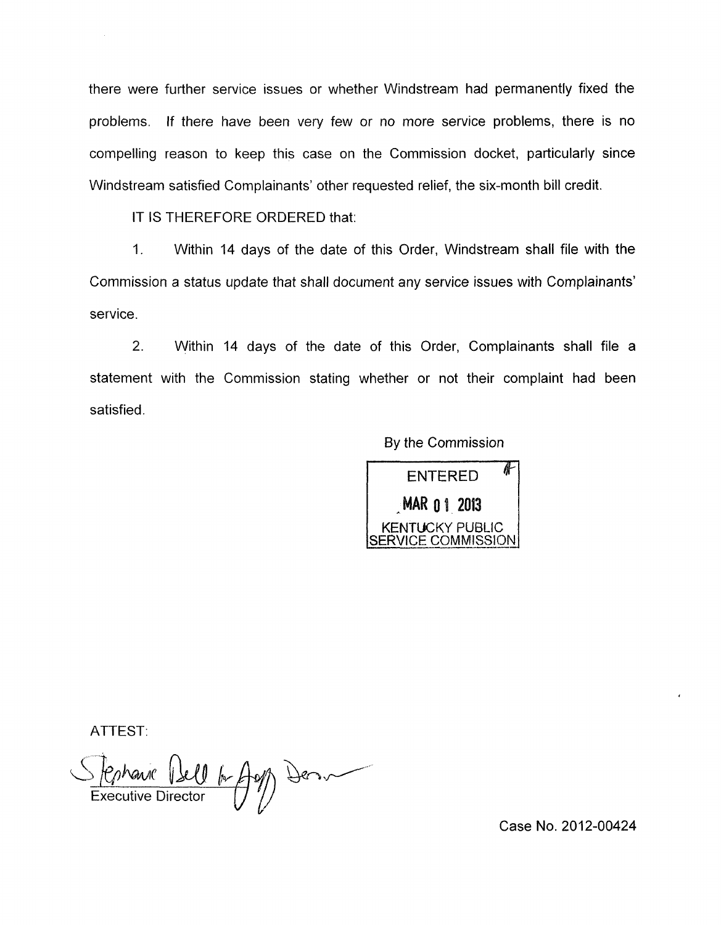there were further service issues or whether Windstream had permanently fixed the problems. If there have been very few or no more service problems, there is no compelling reason to keep this case on the Commission docket, particularly since Windstream satisfied Complainants' other requested relief, the six-month bill credit.

IT IS THEREFORE ORDERED that:

1. Within 14 days of the date of this Order, Windstream shall file with the Commission a status update that shall document any service issues with Complainants' service.

2. Within 14 days of the date of this Order, Complainants shall file a statement with the Commission stating whether or not their complaint had been satisfied

By the Commission



ATTEST:

Executive Dell A Aug Den

Case No. 2012-00424